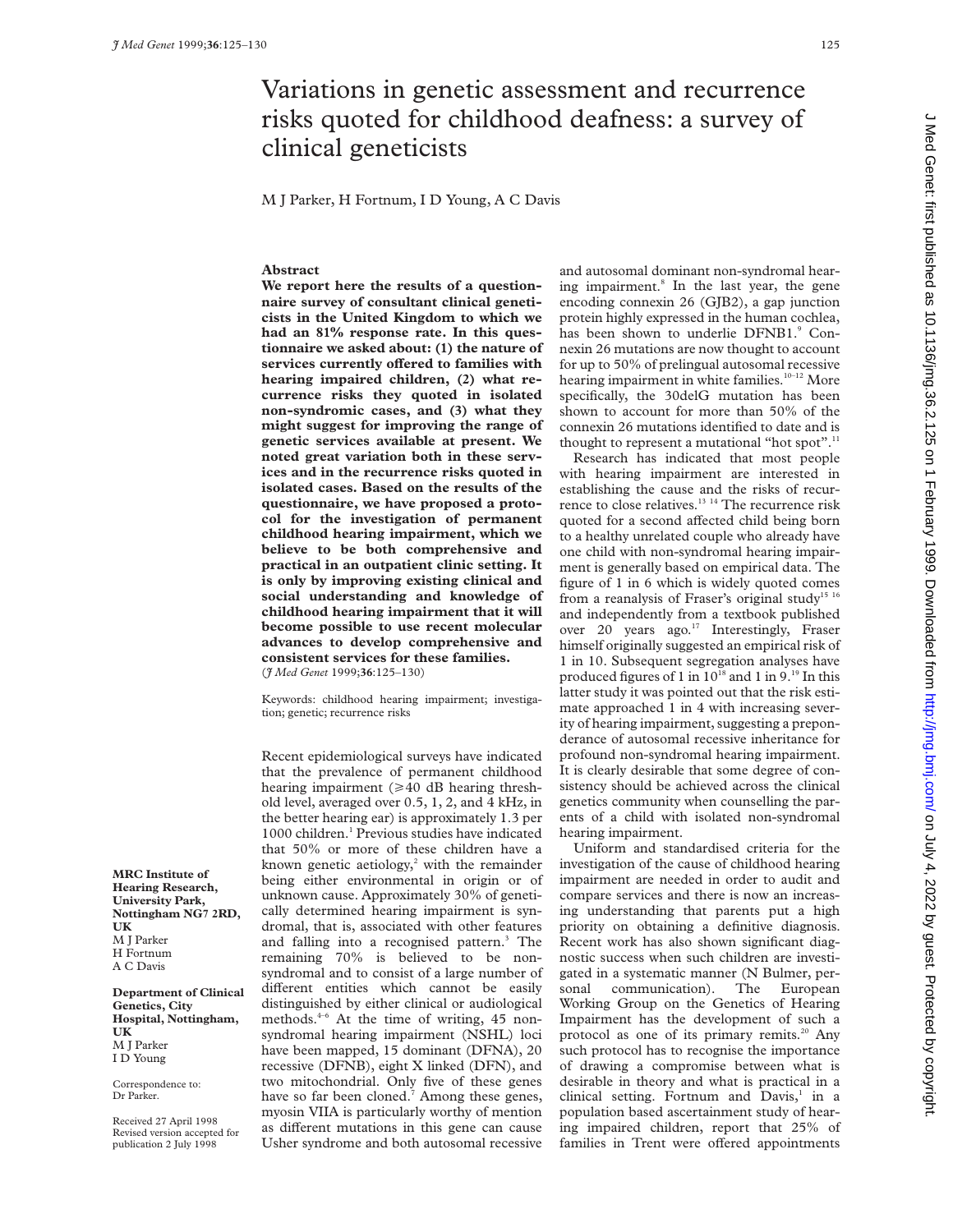# Variations in genetic assessment and recurrence risks quoted for childhood deafness: a survey of clinical geneticists

M J Parker, H Fortnum, I D Young, A C Davis

# **Abstract**

**We report here the results of a questionnaire survey of consultant clinical geneticists in the United Kingdom to which we had an 81% response rate. In this questionnaire we asked about: (1) the nature of** services currently offered to families with **hearing impaired children, (2) what recurrence risks they quoted in isolated non-syndromic cases, and (3) what they might suggest for improving the range of genetic services available at present. We noted great variation both in these services and in the recurrence risks quoted in isolated cases. Based on the results of the questionnaire, we have proposed a protocol for the investigation of permanent childhood hearing impairment, which we believe to be both comprehensive and practical in an outpatient clinic setting. It is only by improving existing clinical and social understanding and knowledge of childhood hearing impairment that it will become possible to use recent molecular advances to develop comprehensive and consistent services for these families.** (*J Med Genet* 1999;**36**:125–130)

Keywords: childhood hearing impairment; investigation; genetic; recurrence risks

Recent epidemiological surveys have indicated that the prevalence of permanent childhood hearing impairment ( $\geq 40$  dB hearing threshold level, averaged over 0.5, 1, 2, and 4 kHz, in the better hearing ear) is approximately 1.3 per 1000 children.<sup>1</sup> Previous studies have indicated that 50% or more of these children have a known genetic aetiology, $2$  with the remainder being either environmental in origin or of unknown cause. Approximately 30% of genetically determined hearing impairment is syndromal, that is, associated with other features and falling into a recognised pattern.<sup>3</sup> The remaining 70% is believed to be nonsyndromal and to consist of a large number of different entities which cannot be easily distinguished by either clinical or audiological methods.<sup>4-6</sup> At the time of writing, 45 nonsyndromal hearing impairment (NSHL) loci have been mapped, 15 dominant (DFNA), 20 recessive (DFNB), eight X linked (DFN), and two mitochondrial. Only five of these genes have so far been cloned.<sup>7</sup> Among these genes, myosin VIIA is particularly worthy of mention as different mutations in this gene can cause Usher syndrome and both autosomal recessive

and autosomal dominant non-syndromal hearing impairment.<sup>8</sup> In the last year, the gene encoding connexin 26 (GJB2), a gap junction protein highly expressed in the human cochlea, has been shown to underlie DFNB1.9 Connexin 26 mutations are now thought to account for up to 50% of prelingual autosomal recessive hearing impairment in white families.<sup>10-12</sup> More specifically, the 30delG mutation has been shown to account for more than 50% of the connexin 26 mutations identified to date and is thought to represent a mutational "hot spot".<sup>11</sup>

Research has indicated that most people with hearing impairment are interested in establishing the cause and the risks of recurrence to close relatives.<sup>13 14</sup> The recurrence risk quoted for a second affected child being born to a healthy unrelated couple who already have one child with non-syndromal hearing impairment is generally based on empirical data. The figure of 1 in 6 which is widely quoted comes from a reanalysis of Fraser's original study<sup>15 16</sup> and independently from a textbook published over 20 years ago.<sup>17</sup> Interestingly, Fraser himself originally suggested an empirical risk of 1 in 10. Subsequent segregation analyses have produced figures of 1 in  $10^{18}$  and 1 in  $9.^{19}$  In this latter study it was pointed out that the risk estimate approached 1 in 4 with increasing severity of hearing impairment, suggesting a preponderance of autosomal recessive inheritance for profound non-syndromal hearing impairment. It is clearly desirable that some degree of consistency should be achieved across the clinical genetics community when counselling the parents of a child with isolated non-syndromal hearing impairment.

Uniform and standardised criteria for the investigation of the cause of childhood hearing impairment are needed in order to audit and compare services and there is now an increasing understanding that parents put a high priority on obtaining a definitive diagnosis. Recent work has also shown significant diagnostic success when such children are investigated in a systematic manner (N Bulmer, personal communication). The European Working Group on the Genetics of Hearing Impairment has the development of such a protocol as one of its primary remits.<sup>20</sup> Any such protocol has to recognise the importance of drawing a compromise between what is desirable in theory and what is practical in a clinical setting. Fortnum and Davis,<sup>1</sup> in a population based ascertainment study of hearing impaired children, report that 25% of families in Trent were offered appointments

**MRC Institute of Hearing Research, University Park, Nottingham NG7 2RD, UK** M J Parker H Fortnum A C Davis

**Department of Clinical Genetics, City Hospital, Nottingham, UK** M J Parker I D Young

Correspondence to: Dr Parker.

Received 27 April 1998 Revised version accepted for publication 2 July 1998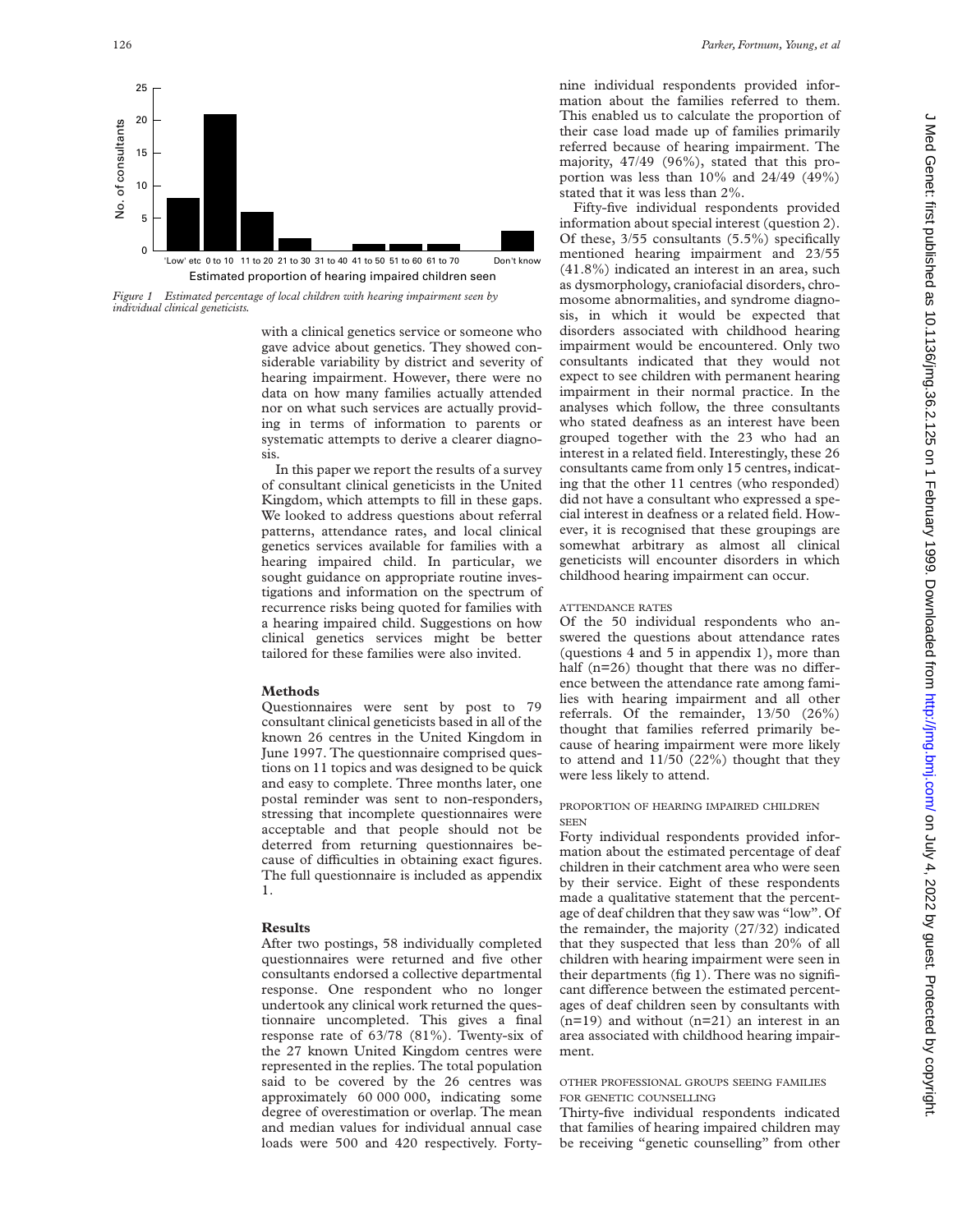

Estimated proportion of hearing impaired children seen 'Low' etc 0 to 10 11 to 20 21 to 30 31 to 40 41 to 50 51 to 60 61 to 70 Don't know

*Figure 1 Estimated percentage of local children with hearing impairment seen by individual clinical geneticists.*

with a clinical genetics service or someone who gave advice about genetics. They showed considerable variability by district and severity of hearing impairment. However, there were no data on how many families actually attended nor on what such services are actually providing in terms of information to parents or systematic attempts to derive a clearer diagnosis.

In this paper we report the results of a survey of consultant clinical geneticists in the United Kingdom, which attempts to fill in these gaps. We looked to address questions about referral patterns, attendance rates, and local clinical genetics services available for families with a hearing impaired child. In particular, we sought guidance on appropriate routine investigations and information on the spectrum of recurrence risks being quoted for families with a hearing impaired child. Suggestions on how clinical genetics services might be better tailored for these families were also invited.

## **Methods**

Questionnaires were sent by post to 79 consultant clinical geneticists based in all of the known 26 centres in the United Kingdom in June 1997. The questionnaire comprised questions on 11 topics and was designed to be quick and easy to complete. Three months later, one postal reminder was sent to non-responders, stressing that incomplete questionnaires were acceptable and that people should not be deterred from returning questionnaires because of difficulties in obtaining exact figures. The full questionnaire is included as appendix 1.

#### **Results**

After two postings, 58 individually completed questionnaires were returned and five other consultants endorsed a collective departmental response. One respondent who no longer undertook any clinical work returned the questionnaire uncompleted. This gives a final response rate of 63/78 (81%). Twenty-six of the 27 known United Kingdom centres were represented in the replies. The total population said to be covered by the 26 centres was approximately 60 000 000, indicating some degree of overestimation or overlap. The mean and median values for individual annual case loads were 500 and 420 respectively. Fortynine individual respondents provided information about the families referred to them. This enabled us to calculate the proportion of their case load made up of families primarily referred because of hearing impairment. The majority, 47/49 (96%), stated that this proportion was less than 10% and 24/49 (49%) stated that it was less than 2%.

Fifty-five individual respondents provided information about special interest (question 2). Of these, 3/55 consultants (5.5%) specifically mentioned hearing impairment and 23/55 (41.8%) indicated an interest in an area, such as dysmorphology, craniofacial disorders, chromosome abnormalities, and syndrome diagnosis, in which it would be expected that disorders associated with childhood hearing impairment would be encountered. Only two consultants indicated that they would not expect to see children with permanent hearing impairment in their normal practice. In the analyses which follow, the three consultants who stated deafness as an interest have been grouped together with the 23 who had an interest in a related field. Interestingly, these 26 consultants came from only 15 centres, indicating that the other 11 centres (who responded) did not have a consultant who expressed a special interest in deafness or a related field. However, it is recognised that these groupings are somewhat arbitrary as almost all clinical geneticists will encounter disorders in which childhood hearing impairment can occur.

# ATTENDANCE RATES

Of the 50 individual respondents who answered the questions about attendance rates (questions 4 and 5 in appendix 1), more than half  $(n=26)$  thought that there was no difference between the attendance rate among families with hearing impairment and all other referrals. Of the remainder, 13/50 (26%) thought that families referred primarily because of hearing impairment were more likely to attend and 11/50 (22%) thought that they were less likely to attend.

## PROPORTION OF HEARING IMPAIRED CHILDREN **SEEN**

Forty individual respondents provided information about the estimated percentage of deaf children in their catchment area who were seen by their service. Eight of these respondents made a qualitative statement that the percentage of deaf children that they saw was "low". Of the remainder, the majority (27/32) indicated that they suspected that less than 20% of all children with hearing impairment were seen in their departments (fig 1). There was no significant difference between the estimated percentages of deaf children seen by consultants with  $(n=19)$  and without  $(n=21)$  an interest in an area associated with childhood hearing impairment.

# OTHER PROFESSIONAL GROUPS SEEING FAMILIES FOR GENETIC COUNSELLING

Thirty-five individual respondents indicated that families of hearing impaired children may be receiving "genetic counselling" from other

 $\Omega$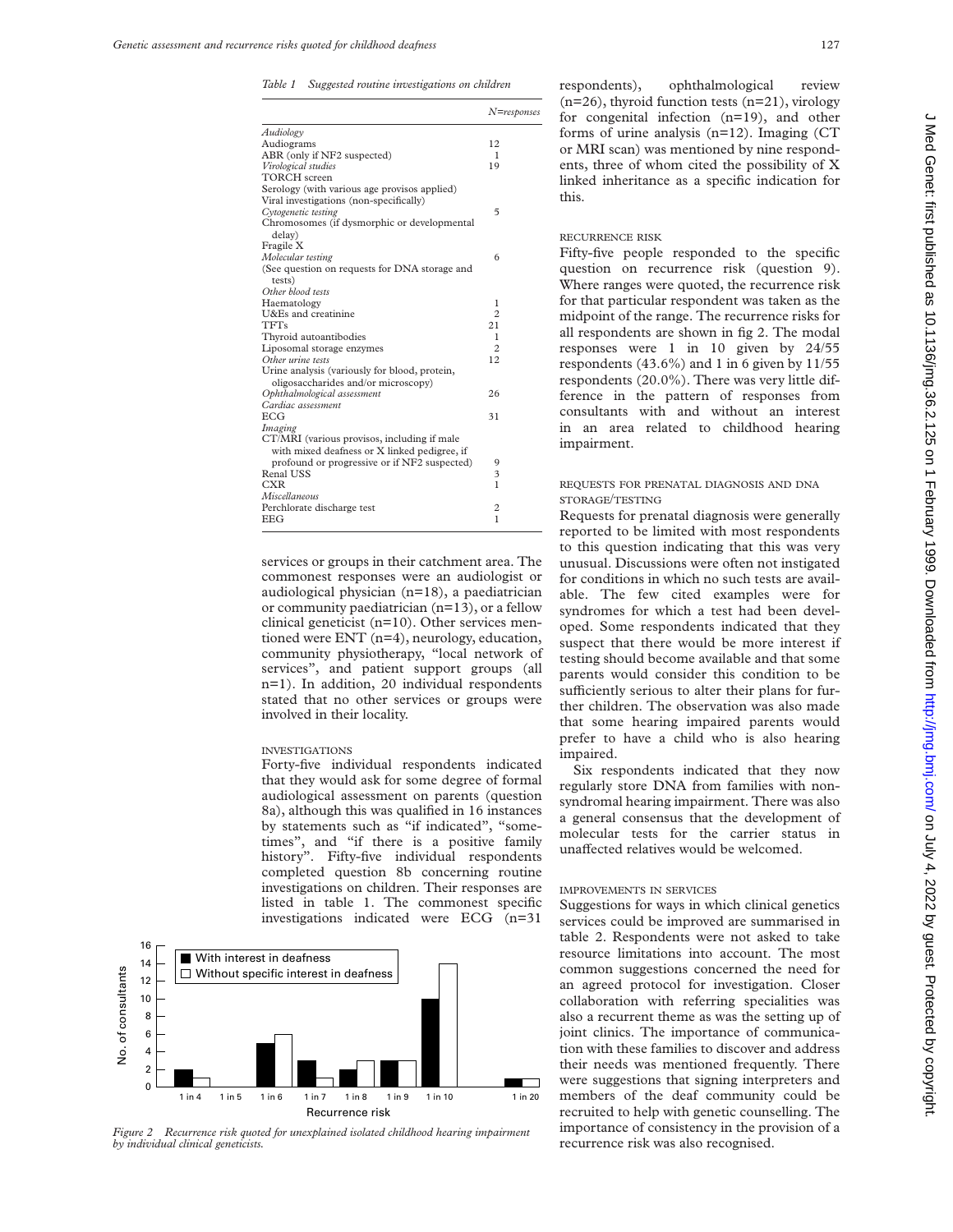*Table 1 Suggested routine investigations on children*

|                                               | $N =$ responses |
|-----------------------------------------------|-----------------|
| Audiology                                     |                 |
| Audiograms                                    | 12              |
| ABR (only if NF2 suspected)                   | 1               |
| Virological studies                           | 19              |
| <b>TORCH</b> screen                           |                 |
| Serology (with various age provisos applied)  |                 |
| Viral investigations (non-specifically)       |                 |
| Cytogenetic testing                           | 5               |
| Chromosomes (if dysmorphic or developmental   |                 |
| delay)                                        |                 |
| Fragile X                                     |                 |
| Molecular testing                             | 6               |
| (See question on requests for DNA storage and |                 |
| tests)                                        |                 |
| Other blood tests                             |                 |
| Haematology                                   | 1               |
| U&Es and creatinine                           | $\overline{c}$  |
| <b>TFTs</b>                                   | 21              |
| Thyroid autoantibodies                        | 1               |
| Liposomal storage enzymes                     | $\overline{c}$  |
| Other urine tests                             | 12              |
| Urine analysis (variously for blood, protein, |                 |
| oligosaccharides and/or microscopy)           |                 |
| Ophthalmological assessment                   | 26              |
| Cardiac assessment                            |                 |
| <b>ECG</b>                                    | 31              |
| Imaging                                       |                 |
| CT/MRI (various provisos, including if male   |                 |
| with mixed deafness or X linked pedigree, if  |                 |
| profound or progressive or if NF2 suspected)  | 9               |
| Renal USS                                     | 3               |
| <b>CXR</b>                                    | $\mathbf{1}$    |
| Miscellaneous                                 |                 |
| Perchlorate discharge test                    | 2               |
| <b>EEG</b>                                    | $\mathbf{1}$    |
|                                               |                 |

services or groups in their catchment area. The commonest responses were an audiologist or audiological physician (n=18), a paediatrician or community paediatrician (n=13), or a fellow clinical geneticist (n=10). Other services mentioned were ENT (n=4), neurology, education, community physiotherapy, "local network of services", and patient support groups (all n=1). In addition, 20 individual respondents stated that no other services or groups were involved in their locality.

#### INVESTIGATIONS

Forty-five individual respondents indicated that they would ask for some degree of formal audiological assessment on parents (question 8a), although this was qualified in 16 instances by statements such as "if indicated", "sometimes", and "if there is a positive family history". Fifty-five individual respondents completed question 8b concerning routine investigations on children. Their responses are listed in table 1. The commonest specific investigations indicated were ECG (n=31



*Figure 2 Recurrence risk quoted for unexplained isolated childhood hearing impairment by individual clinical geneticists.*

respondents), ophthalmological review  $(n=26)$ , thyroid function tests  $(n=21)$ , virology for congenital infection (n=19), and other forms of urine analysis (n=12). Imaging (CT or MRI scan) was mentioned by nine respondents, three of whom cited the possibility of X linked inheritance as a specific indication for this.

# RECURRENCE RISK

Fifty-five people responded to the specific question on recurrence risk (question 9). Where ranges were quoted, the recurrence risk for that particular respondent was taken as the midpoint of the range. The recurrence risks for all respondents are shown in fig 2. The modal responses were 1 in 10 given by 24/55 respondents (43.6%) and 1 in 6 given by 11/55 respondents (20.0%). There was very little difference in the pattern of responses from consultants with and without an interest in an area related to childhood hearing impairment.

# REQUESTS FOR PRENATAL DIAGNOSIS AND DNA STORAGE/TESTING

Requests for prenatal diagnosis were generally reported to be limited with most respondents to this question indicating that this was very unusual. Discussions were often not instigated for conditions in which no such tests are available. The few cited examples were for syndromes for which a test had been developed. Some respondents indicated that they suspect that there would be more interest if testing should become available and that some parents would consider this condition to be sufficiently serious to alter their plans for further children. The observation was also made that some hearing impaired parents would prefer to have a child who is also hearing impaired.

Six respondents indicated that they now regularly store DNA from families with nonsyndromal hearing impairment. There was also a general consensus that the development of molecular tests for the carrier status in unaffected relatives would be welcomed.

#### IMPROVEMENTS IN SERVICES

Suggestions for ways in which clinical genetics services could be improved are summarised in table 2. Respondents were not asked to take resource limitations into account. The most common suggestions concerned the need for an agreed protocol for investigation. Closer collaboration with referring specialities was also a recurrent theme as was the setting up of joint clinics. The importance of communication with these families to discover and address their needs was mentioned frequently. There were suggestions that signing interpreters and members of the deaf community could be recruited to help with genetic counselling. The importance of consistency in the provision of a recurrence risk was also recognised.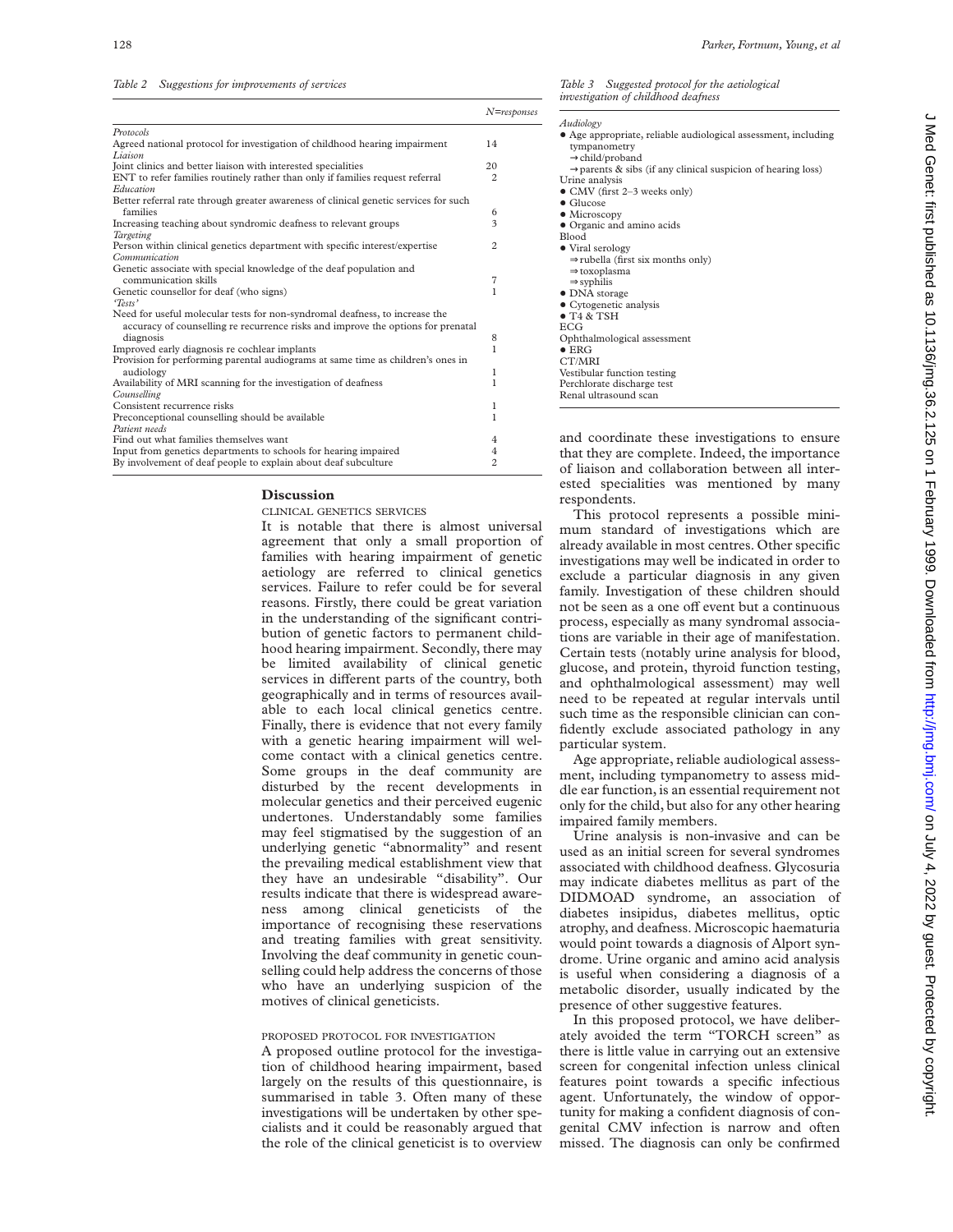*Table 2 Suggestions for improvements of services*

|                                                                                       | $N$ =response. |  |
|---------------------------------------------------------------------------------------|----------------|--|
| Protocols                                                                             |                |  |
| Agreed national protocol for investigation of childhood hearing impairment<br>Liaison | 14             |  |
| Joint clinics and better liaison with interested specialities                         | 20             |  |
| ENT to refer families routinely rather than only if families request referral         |                |  |
| Education                                                                             | 2              |  |
| Better referral rate through greater awareness of clinical genetic services for such  |                |  |
| families                                                                              | 6              |  |
| Increasing teaching about syndromic deafness to relevant groups                       | 3              |  |
| Targeting                                                                             |                |  |
| Person within clinical genetics department with specific interest/expertise           | 2              |  |
| Communication                                                                         |                |  |
| Genetic associate with special knowledge of the deaf population and                   |                |  |
| communication skills                                                                  | 7              |  |
| Genetic counsellor for deaf (who signs)                                               | 1              |  |
| 'Tests'                                                                               |                |  |
| Need for useful molecular tests for non-syndromal deafness, to increase the           |                |  |
| accuracy of counselling re recurrence risks and improve the options for prenatal      |                |  |
| diagnosis                                                                             | 8              |  |
| Improved early diagnosis re cochlear implants                                         | 1              |  |
| Provision for performing parental audiograms at same time as children's ones in       |                |  |
| audiology                                                                             | 1              |  |
| Availability of MRI scanning for the investigation of deafness                        | 1              |  |
| Counselling                                                                           |                |  |
| Consistent recurrence risks                                                           | 1              |  |
| Preconceptional counselling should be available                                       | 1              |  |
| Patient needs                                                                         |                |  |
| Find out what families themselves want                                                | 4              |  |
| Input from genetics departments to schools for hearing impaired                       |                |  |
| By involvement of deaf people to explain about deaf subculture                        |                |  |

## **Discussion**

CLINICAL GENETICS SERVICES

It is notable that there is almost universal agreement that only a small proportion of families with hearing impairment of genetic aetiology are referred to clinical genetics services. Failure to refer could be for several reasons. Firstly, there could be great variation in the understanding of the significant contribution of genetic factors to permanent childhood hearing impairment. Secondly, there may be limited availability of clinical genetic services in different parts of the country, both geographically and in terms of resources available to each local clinical genetics centre. Finally, there is evidence that not every family with a genetic hearing impairment will welcome contact with a clinical genetics centre. Some groups in the deaf community are disturbed by the recent developments in molecular genetics and their perceived eugenic undertones. Understandably some families may feel stigmatised by the suggestion of an underlying genetic "abnormality" and resent the prevailing medical establishment view that they have an undesirable "disability". Our results indicate that there is widespread awareness among clinical geneticists of the importance of recognising these reservations and treating families with great sensitivity. Involving the deaf community in genetic counselling could help address the concerns of those who have an underlying suspicion of the motives of clinical geneticists.

## PROPOSED PROTOCOL FOR INVESTIGATION

A proposed outline protocol for the investigation of childhood hearing impairment, based largely on the results of this questionnaire, is summarised in table 3. Often many of these investigations will be undertaken by other specialists and it could be reasonably argued that the role of the clinical geneticist is to overview *Table 3 Suggested protocol for the aetiological investigation of childhood deafness*

| Audiology         |                                                                          |
|-------------------|--------------------------------------------------------------------------|
|                   | • Age appropriate, reliable audiological assessment, including           |
|                   | tympanometry                                                             |
|                   | $\rightarrow$ child/proband                                              |
|                   | $\rightarrow$ parents & sibs (if any clinical suspicion of hearing loss) |
|                   | Urine analysis                                                           |
|                   | • CMV (first 2-3 weeks only)                                             |
| $\bullet$ Glucose |                                                                          |
|                   | $\bullet$ Microscopy                                                     |
|                   | • Organic and amino acids                                                |
| <b>Blood</b>      |                                                                          |
|                   | • Viral serology                                                         |
|                   | $\Rightarrow$ rubella (first six months only)                            |
|                   | $\Rightarrow$ toxoplasma                                                 |
|                   | $\Rightarrow$ syphilis                                                   |
|                   | • DNA storage                                                            |
|                   | • Cytogenetic analysis                                                   |
|                   | $\bullet$ T <sub>4</sub> & T <sub>SH</sub>                               |
| <b>ECG</b>        |                                                                          |
|                   | Ophthalmological assessment                                              |
| $\bullet$ ERG     |                                                                          |
| CT/MRI            |                                                                          |
|                   | Vestibular function testing                                              |
|                   | Perchlorate discharge test                                               |
|                   | Renal ultrasound scan                                                    |
|                   |                                                                          |

and coordinate these investigations to ensure that they are complete. Indeed, the importance of liaison and collaboration between all interested specialities was mentioned by many respondents.

This protocol represents a possible minimum standard of investigations which are already available in most centres. Other specific investigations may well be indicated in order to exclude a particular diagnosis in any given family. Investigation of these children should not be seen as a one off event but a continuous process, especially as many syndromal associations are variable in their age of manifestation. Certain tests (notably urine analysis for blood, glucose, and protein, thyroid function testing, and ophthalmological assessment) may well need to be repeated at regular intervals until such time as the responsible clinician can confidently exclude associated pathology in any particular system.

Age appropriate, reliable audiological assessment, including tympanometry to assess middle ear function, is an essential requirement not only for the child, but also for any other hearing impaired family members.

Urine analysis is non-invasive and can be used as an initial screen for several syndromes associated with childhood deafness. Glycosuria may indicate diabetes mellitus as part of the DIDMOAD syndrome, an association of diabetes insipidus, diabetes mellitus, optic atrophy, and deafness. Microscopic haematuria would point towards a diagnosis of Alport syndrome. Urine organic and amino acid analysis is useful when considering a diagnosis of a metabolic disorder, usually indicated by the presence of other suggestive features.

In this proposed protocol, we have deliberately avoided the term "TORCH screen" as there is little value in carrying out an extensive screen for congenital infection unless clinical features point towards a specific infectious agent. Unfortunately, the window of opportunity for making a confident diagnosis of congenital CMV infection is narrow and often missed. The diagnosis can only be confirmed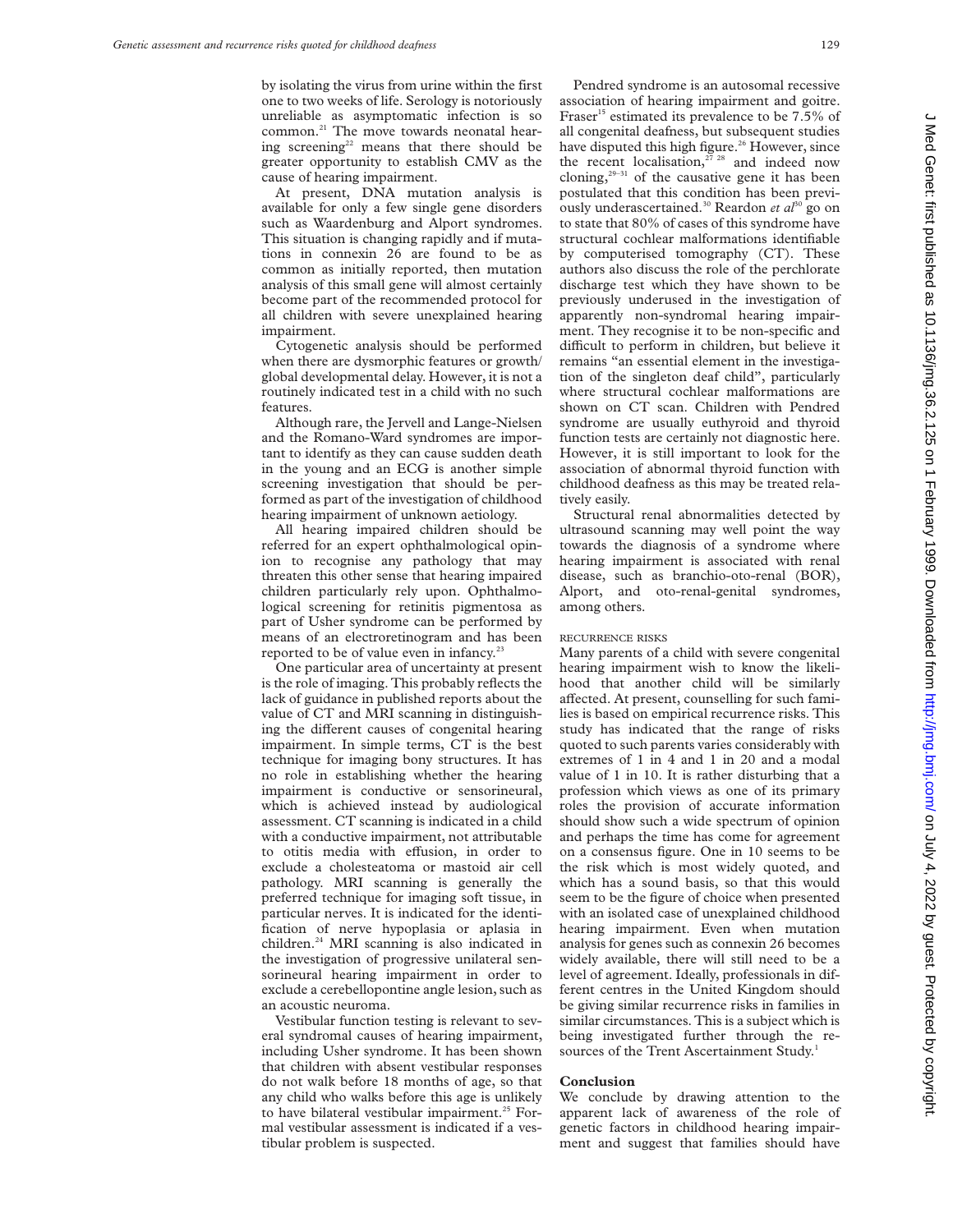by isolating the virus from urine within the first one to two weeks of life. Serology is notoriously unreliable as asymptomatic infection is so common.<sup>21</sup> The move towards neonatal hearing screening<sup>22</sup> means that there should be greater opportunity to establish CMV as the cause of hearing impairment.

At present, DNA mutation analysis is available for only a few single gene disorders such as Waardenburg and Alport syndromes. This situation is changing rapidly and if mutations in connexin 26 are found to be as common as initially reported, then mutation analysis of this small gene will almost certainly become part of the recommended protocol for all children with severe unexplained hearing impairment.

Cytogenetic analysis should be performed when there are dysmorphic features or growth/ global developmental delay. However, it is not a routinely indicated test in a child with no such features.

Although rare, the Jervell and Lange-Nielsen and the Romano-Ward syndromes are important to identify as they can cause sudden death in the young and an ECG is another simple screening investigation that should be performed as part of the investigation of childhood hearing impairment of unknown aetiology.

All hearing impaired children should be referred for an expert ophthalmological opinion to recognise any pathology that may threaten this other sense that hearing impaired children particularly rely upon. Ophthalmological screening for retinitis pigmentosa as part of Usher syndrome can be performed by means of an electroretinogram and has been reported to be of value even in infancy.<sup>23</sup>

One particular area of uncertainty at present is the role of imaging. This probably reflects the lack of guidance in published reports about the value of CT and MRI scanning in distinguishing the different causes of congenital hearing impairment. In simple terms, CT is the best technique for imaging bony structures. It has no role in establishing whether the hearing impairment is conductive or sensorineural, which is achieved instead by audiological assessment. CT scanning is indicated in a child with a conductive impairment, not attributable to otitis media with effusion, in order to exclude a cholesteatoma or mastoid air cell pathology. MRI scanning is generally the preferred technique for imaging soft tissue, in particular nerves. It is indicated for the identification of nerve hypoplasia or aplasia in children.24 MRI scanning is also indicated in the investigation of progressive unilateral sensorineural hearing impairment in order to exclude a cerebellopontine angle lesion, such as an acoustic neuroma.

Vestibular function testing is relevant to several syndromal causes of hearing impairment, including Usher syndrome. It has been shown that children with absent vestibular responses do not walk before 18 months of age, so that any child who walks before this age is unlikely to have bilateral vestibular impairment.<sup>25</sup> Formal vestibular assessment is indicated if a vestibular problem is suspected.

Pendred syndrome is an autosomal recessive association of hearing impairment and goitre. Fraser<sup>15</sup> estimated its prevalence to be 7.5% of all congenital deafness, but subsequent studies have disputed this high figure.<sup>26</sup> However, since the recent localisation,<sup>27</sup> <sup>28</sup> and indeed now cloning, $29-31$  of the causative gene it has been postulated that this condition has been previously underascertained.<sup>30</sup> Reardon *et al*<sup>30</sup> go on to state that 80% of cases of this syndrome have structural cochlear malformations identifiable by computerised tomography (CT). These authors also discuss the role of the perchlorate discharge test which they have shown to be previously underused in the investigation of apparently non-syndromal hearing impairment. They recognise it to be non-specific and difficult to perform in children, but believe it remains "an essential element in the investigation of the singleton deaf child", particularly where structural cochlear malformations are shown on CT scan. Children with Pendred syndrome are usually euthyroid and thyroid function tests are certainly not diagnostic here. However, it is still important to look for the association of abnormal thyroid function with childhood deafness as this may be treated relatively easily.

Structural renal abnormalities detected by ultrasound scanning may well point the way towards the diagnosis of a syndrome where hearing impairment is associated with renal disease, such as branchio-oto-renal (BOR), Alport, and oto-renal-genital syndromes, among others.

## RECURRENCE RISKS

Many parents of a child with severe congenital hearing impairment wish to know the likelihood that another child will be similarly affected. At present, counselling for such families is based on empirical recurrence risks. This study has indicated that the range of risks quoted to such parents varies considerably with extremes of 1 in 4 and 1 in 20 and a modal value of 1 in 10. It is rather disturbing that a profession which views as one of its primary roles the provision of accurate information should show such a wide spectrum of opinion and perhaps the time has come for agreement on a consensus figure. One in 10 seems to be the risk which is most widely quoted, and which has a sound basis, so that this would seem to be the figure of choice when presented with an isolated case of unexplained childhood hearing impairment. Even when mutation analysis for genes such as connexin 26 becomes widely available, there will still need to be a level of agreement. Ideally, professionals in different centres in the United Kingdom should be giving similar recurrence risks in families in similar circumstances. This is a subject which is being investigated further through the resources of the Trent Ascertainment Study.<sup>1</sup>

#### **Conclusion**

We conclude by drawing attention to the apparent lack of awareness of the role of genetic factors in childhood hearing impairment and suggest that families should have